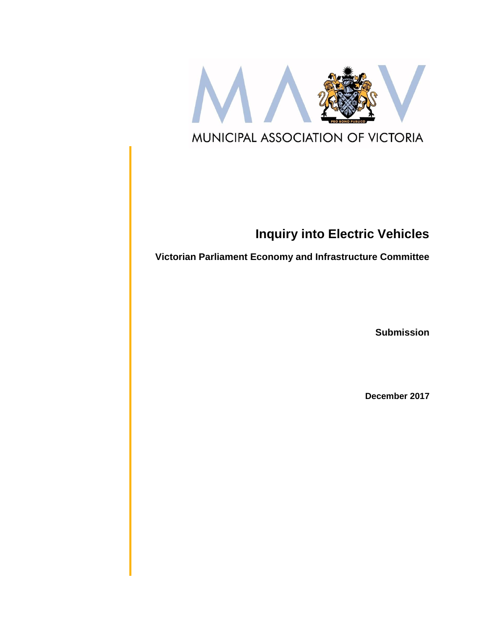

# **Inquiry into Electric Vehicles**

**Victorian Parliament Economy and Infrastructure Committee**

**Submission**

**December 2017**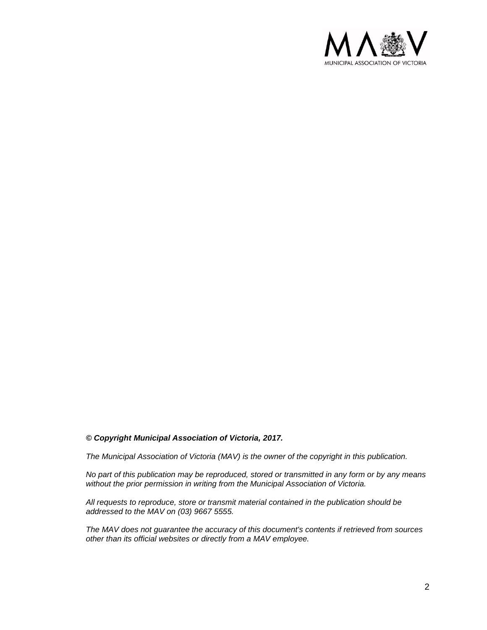

#### *© Copyright Municipal Association of Victoria, 2017.*

*The Municipal Association of Victoria (MAV) is the owner of the copyright in this publication.* 

*No part of this publication may be reproduced, stored or transmitted in any form or by any means without the prior permission in writing from the Municipal Association of Victoria.* 

*All requests to reproduce, store or transmit material contained in the publication should be addressed to the MAV on (03) 9667 5555.*

*The MAV does not guarantee the accuracy of this document's contents if retrieved from sources other than its official websites or directly from a MAV employee.*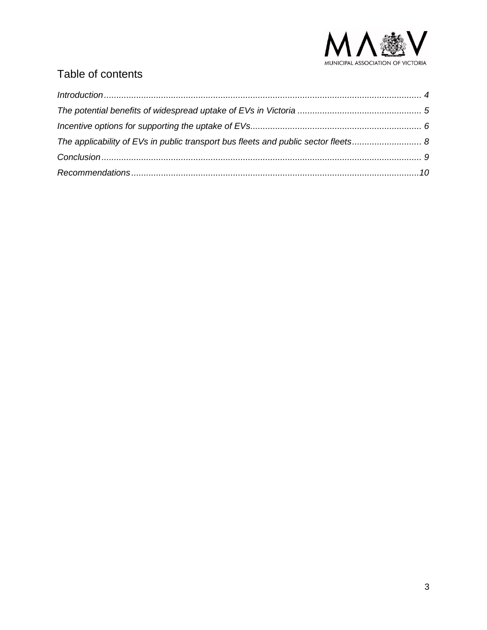

# Table of contents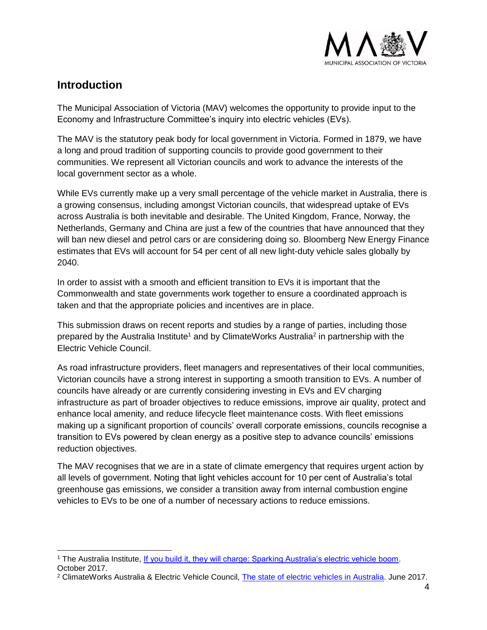

#### <span id="page-3-0"></span>**Introduction**

 $\overline{a}$ 

The Municipal Association of Victoria (MAV) welcomes the opportunity to provide input to the Economy and Infrastructure Committee's inquiry into electric vehicles (EVs).

The MAV is the statutory peak body for local government in Victoria. Formed in 1879, we have a long and proud tradition of supporting councils to provide good government to their communities. We represent all Victorian councils and work to advance the interests of the local government sector as a whole.

While EVs currently make up a very small percentage of the vehicle market in Australia, there is a growing consensus, including amongst Victorian councils, that widespread uptake of EVs across Australia is both inevitable and desirable. The United Kingdom, France, Norway, the Netherlands, Germany and China are just a few of the countries that have announced that they will ban new diesel and petrol cars or are considering doing so. Bloomberg New Energy Finance estimates that EVs will account for 54 per cent of all new light-duty vehicle sales globally by 2040.

In order to assist with a smooth and efficient transition to EVs it is important that the Commonwealth and state governments work together to ensure a coordinated approach is taken and that the appropriate policies and incentives are in place.

This submission draws on recent reports and studies by a range of parties, including those prepared by the Australia Institute<sup>1</sup> and by ClimateWorks Australia<sup>2</sup> in partnership with the Electric Vehicle Council.

As road infrastructure providers, fleet managers and representatives of their local communities, Victorian councils have a strong interest in supporting a smooth transition to EVs. A number of councils have already or are currently considering investing in EVs and EV charging infrastructure as part of broader objectives to reduce emissions, improve air quality, protect and enhance local amenity, and reduce lifecycle fleet maintenance costs. With fleet emissions making up a significant proportion of councils' overall corporate emissions, councils recognise a transition to EVs powered by clean energy as a positive step to advance councils' emissions reduction objectives.

The MAV recognises that we are in a state of climate emergency that requires urgent action by all levels of government. Noting that light vehicles account for 10 per cent of Australia's total greenhouse gas emissions, we consider a transition away from internal combustion engine vehicles to EVs to be one of a number of necessary actions to reduce emissions.

<sup>1</sup> The Australia Institute, [If you build it, they will charge: Sparking Australia's electric vehicle boom.](http://www.tai.org.au/sites/defualt/files/P233%20If%20you%20build%20it%20they%20will%20charge%20FINAL%20-%20October%202017.pd) October 2017.

<sup>2</sup> ClimateWorks Australia & Electric Vehicle Council, [The state of electric vehicles in Australia.](https://climateworks.com.au/sites/default/files/documents/publications/state_of_evs_final.pdf) June 2017.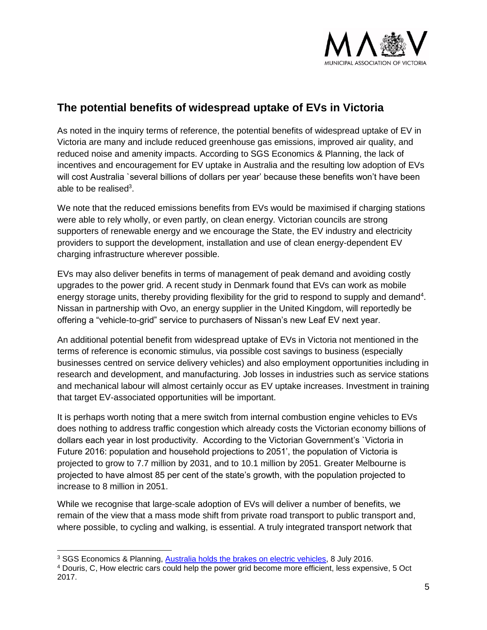

## <span id="page-4-0"></span>**The potential benefits of widespread uptake of EVs in Victoria**

As noted in the inquiry terms of reference, the potential benefits of widespread uptake of EV in Victoria are many and include reduced greenhouse gas emissions, improved air quality, and reduced noise and amenity impacts. According to SGS Economics & Planning, the lack of incentives and encouragement for EV uptake in Australia and the resulting low adoption of EVs will cost Australia `several billions of dollars per year' because these benefits won't have been able to be realised<sup>3</sup>.

We note that the reduced emissions benefits from EVs would be maximised if charging stations were able to rely wholly, or even partly, on clean energy. Victorian councils are strong supporters of renewable energy and we encourage the State, the EV industry and electricity providers to support the development, installation and use of clean energy-dependent EV charging infrastructure wherever possible.

EVs may also deliver benefits in terms of management of peak demand and avoiding costly upgrades to the power grid. A recent study in Denmark found that EVs can work as mobile energy storage units, thereby providing flexibility for the grid to respond to supply and demand<sup>4</sup>. Nissan in partnership with Ovo, an energy supplier in the United Kingdom, will reportedly be offering a "vehicle-to-grid" service to purchasers of Nissan's new Leaf EV next year.

An additional potential benefit from widespread uptake of EVs in Victoria not mentioned in the terms of reference is economic stimulus, via possible cost savings to business (especially businesses centred on service delivery vehicles) and also employment opportunities including in research and development, and manufacturing. Job losses in industries such as service stations and mechanical labour will almost certainly occur as EV uptake increases. Investment in training that target EV-associated opportunities will be important.

It is perhaps worth noting that a mere switch from internal combustion engine vehicles to EVs does nothing to address traffic congestion which already costs the Victorian economy billions of dollars each year in lost productivity. According to the Victorian Government's `Victoria in Future 2016: population and household projections to 2051', the population of Victoria is projected to grow to 7.7 million by 2031, and to 10.1 million by 2051. Greater Melbourne is projected to have almost 85 per cent of the state's growth, with the population projected to increase to 8 million in 2051.

While we recognise that large-scale adoption of EVs will deliver a number of benefits, we remain of the view that a mass mode shift from private road transport to public transport and, where possible, to cycling and walking, is essential. A truly integrated transport network that

 $\overline{a}$ 

<sup>3</sup> SGS Economics & Planning, [Australia holds the brakes on electric vehicles,](https://www.sgsep.com.au/publications/australia-holds-brakes-electric-vehicles) 8 July 2016.

<sup>4</sup> Douris, C, How electric cars could help the power grid become more efficient, less expensive, 5 Oct 2017.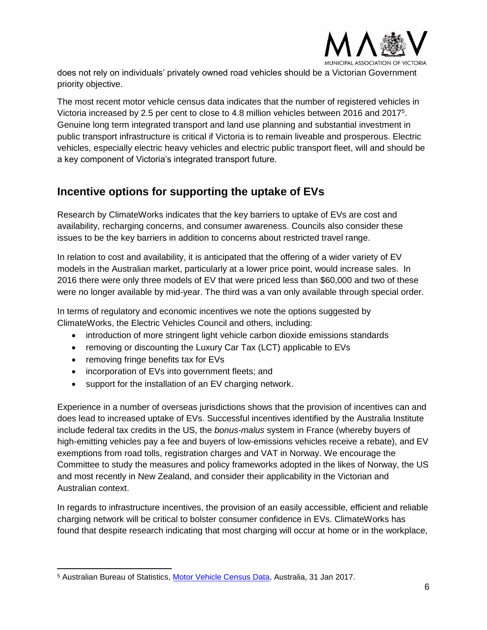

does not rely on individuals' privately owned road vehicles should be a Victorian Government priority objective.

The most recent motor vehicle census data indicates that the number of registered vehicles in Victoria increased by 2.5 per cent to close to 4.8 million vehicles between 2016 and 2017<sup>5</sup>. Genuine long term integrated transport and land use planning and substantial investment in public transport infrastructure is critical if Victoria is to remain liveable and prosperous. Electric vehicles, especially electric heavy vehicles and electric public transport fleet, will and should be a key component of Victoria's integrated transport future.

### <span id="page-5-0"></span>**Incentive options for supporting the uptake of EVs**

Research by ClimateWorks indicates that the key barriers to uptake of EVs are cost and availability, recharging concerns, and consumer awareness. Councils also consider these issues to be the key barriers in addition to concerns about restricted travel range.

In relation to cost and availability, it is anticipated that the offering of a wider variety of EV models in the Australian market, particularly at a lower price point, would increase sales. In 2016 there were only three models of EV that were priced less than \$60,000 and two of these were no longer available by mid-year. The third was a van only available through special order.

In terms of regulatory and economic incentives we note the options suggested by ClimateWorks, the Electric Vehicles Council and others, including:

- introduction of more stringent light vehicle carbon dioxide emissions standards
- removing or discounting the Luxury Car Tax (LCT) applicable to EVs
- removing fringe benefits tax for EVs
- incorporation of EVs into government fleets; and
- support for the installation of an EV charging network.

Experience in a number of overseas jurisdictions shows that the provision of incentives can and does lead to increased uptake of EVs. Successful incentives identified by the Australia Institute include federal tax credits in the US, the *bonus-malus* system in France (whereby buyers of high-emitting vehicles pay a fee and buyers of low-emissions vehicles receive a rebate), and EV exemptions from road tolls, registration charges and VAT in Norway. We encourage the Committee to study the measures and policy frameworks adopted in the likes of Norway, the US and most recently in New Zealand, and consider their applicability in the Victorian and Australian context.

In regards to infrastructure incentives, the provision of an easily accessible, efficient and reliable charging network will be critical to bolster consumer confidence in EVs. ClimateWorks has found that despite research indicating that most charging will occur at home or in the workplace,

 <sup>5</sup> Australian Bureau of Statistics, [Motor Vehicle Census Data,](http://www.abs.gov.au/ausstats/abs@.nsf/mf/9309.0) Australia, 31 Jan 2017.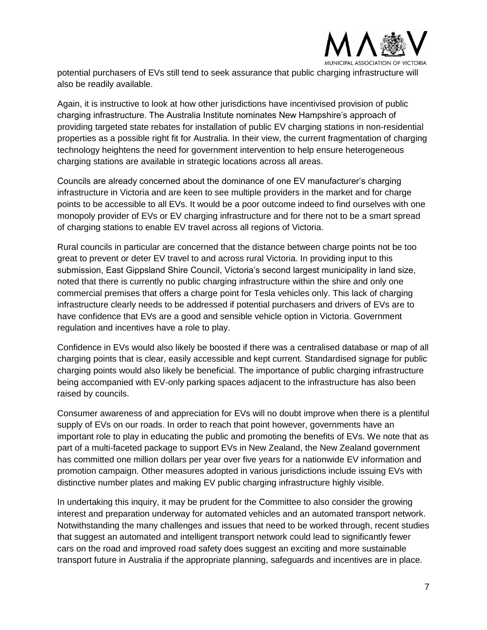

potential purchasers of EVs still tend to seek assurance that public charging infrastructure will also be readily available.

Again, it is instructive to look at how other jurisdictions have incentivised provision of public charging infrastructure. The Australia Institute nominates New Hampshire's approach of providing targeted state rebates for installation of public EV charging stations in non-residential properties as a possible right fit for Australia. In their view, the current fragmentation of charging technology heightens the need for government intervention to help ensure heterogeneous charging stations are available in strategic locations across all areas.

Councils are already concerned about the dominance of one EV manufacturer's charging infrastructure in Victoria and are keen to see multiple providers in the market and for charge points to be accessible to all EVs. It would be a poor outcome indeed to find ourselves with one monopoly provider of EVs or EV charging infrastructure and for there not to be a smart spread of charging stations to enable EV travel across all regions of Victoria.

Rural councils in particular are concerned that the distance between charge points not be too great to prevent or deter EV travel to and across rural Victoria. In providing input to this submission, East Gippsland Shire Council, Victoria's second largest municipality in land size, noted that there is currently no public charging infrastructure within the shire and only one commercial premises that offers a charge point for Tesla vehicles only. This lack of charging infrastructure clearly needs to be addressed if potential purchasers and drivers of EVs are to have confidence that EVs are a good and sensible vehicle option in Victoria. Government regulation and incentives have a role to play.

Confidence in EVs would also likely be boosted if there was a centralised database or map of all charging points that is clear, easily accessible and kept current. Standardised signage for public charging points would also likely be beneficial. The importance of public charging infrastructure being accompanied with EV-only parking spaces adjacent to the infrastructure has also been raised by councils.

Consumer awareness of and appreciation for EVs will no doubt improve when there is a plentiful supply of EVs on our roads. In order to reach that point however, governments have an important role to play in educating the public and promoting the benefits of EVs. We note that as part of a multi-faceted package to support EVs in New Zealand, the New Zealand government has committed one million dollars per year over five years for a nationwide EV information and promotion campaign. Other measures adopted in various jurisdictions include issuing EVs with distinctive number plates and making EV public charging infrastructure highly visible.

In undertaking this inquiry, it may be prudent for the Committee to also consider the growing interest and preparation underway for automated vehicles and an automated transport network. Notwithstanding the many challenges and issues that need to be worked through, recent studies that suggest an automated and intelligent transport network could lead to significantly fewer cars on the road and improved road safety does suggest an exciting and more sustainable transport future in Australia if the appropriate planning, safeguards and incentives are in place.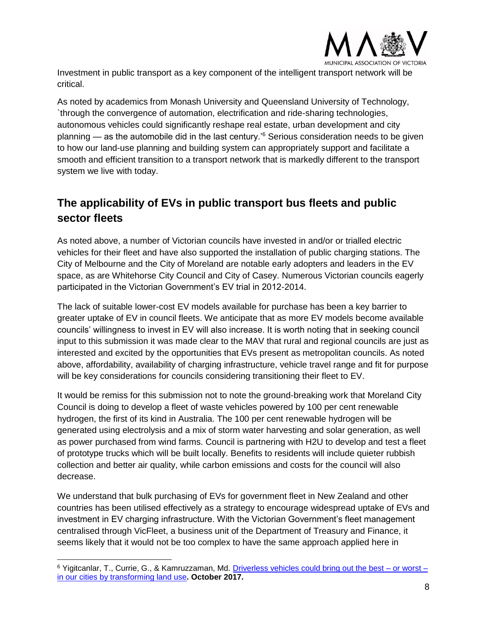

Investment in public transport as a key component of the intelligent transport network will be critical.

As noted by academics from Monash University and Queensland University of Technology, `through the convergence of automation, electrification and ride-sharing technologies, autonomous vehicles could significantly reshape real estate, urban development and city planning — as the automobile did in the last century.<sup>'6</sup> Serious consideration needs to be given to how our land-use planning and building system can appropriately support and facilitate a smooth and efficient transition to a transport network that is markedly different to the transport system we live with today.

# <span id="page-7-0"></span>**The applicability of EVs in public transport bus fleets and public sector fleets**

As noted above, a number of Victorian councils have invested in and/or or trialled electric vehicles for their fleet and have also supported the installation of public charging stations. The City of Melbourne and the City of Moreland are notable early adopters and leaders in the EV space, as are Whitehorse City Council and City of Casey. Numerous Victorian councils eagerly participated in the Victorian Government's EV trial in 2012-2014.

The lack of suitable lower-cost EV models available for purchase has been a key barrier to greater uptake of EV in council fleets. We anticipate that as more EV models become available councils' willingness to invest in EV will also increase. It is worth noting that in seeking council input to this submission it was made clear to the MAV that rural and regional councils are just as interested and excited by the opportunities that EVs present as metropolitan councils. As noted above, affordability, availability of charging infrastructure, vehicle travel range and fit for purpose will be key considerations for councils considering transitioning their fleet to EV.

It would be remiss for this submission not to note the ground-breaking work that Moreland City Council is doing to develop a fleet of waste vehicles powered by 100 per cent renewable hydrogen, the first of its kind in Australia. The 100 per cent renewable hydrogen will be generated using electrolysis and a mix of storm water harvesting and solar generation, as well as power purchased from wind farms. Council is partnering with H2U to develop and test a fleet of prototype trucks which will be built locally. Benefits to residents will include quieter rubbish collection and better air quality, while carbon emissions and costs for the council will also decrease.

We understand that bulk purchasing of EVs for government fleet in New Zealand and other countries has been utilised effectively as a strategy to encourage widespread uptake of EVs and investment in EV charging infrastructure. With the Victorian Government's fleet management centralised through VicFleet, a business unit of the Department of Treasury and Finance, it seems likely that it would not be too complex to have the same approach applied here in

 $\overline{a}$ 

<sup>6</sup> Yigitcanlar, T., Currie, G., & Kamruzzaman, Md. [Driverless vehicles could bring out the best –](https://theconversation.com/driverless-vehicles-could-bring-out-the-best-or-worst-in-our-cities-by-transforming-land-use-84127) or worst – [in our cities by transforming land](https://theconversation.com/driverless-vehicles-could-bring-out-the-best-or-worst-in-our-cities-by-transforming-land-use-84127) use**. October 2017.**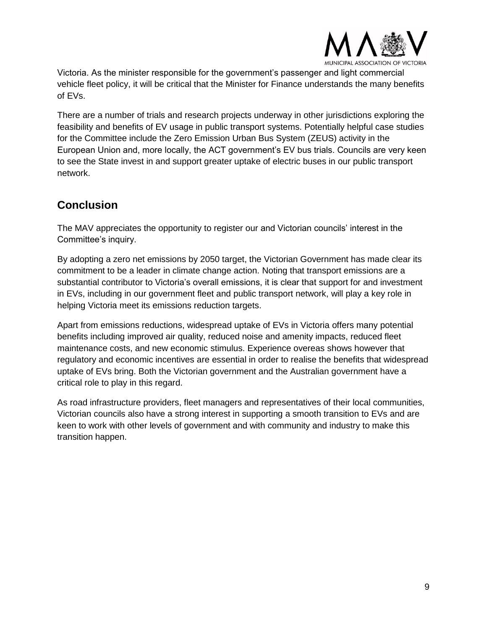

Victoria. As the minister responsible for the government's passenger and light commercial vehicle fleet policy, it will be critical that the Minister for Finance understands the many benefits of EVs.

There are a number of trials and research projects underway in other jurisdictions exploring the feasibility and benefits of EV usage in public transport systems. Potentially helpful case studies for the Committee include the Zero Emission Urban Bus System (ZEUS) activity in the European Union and, more locally, the ACT government's EV bus trials. Councils are very keen to see the State invest in and support greater uptake of electric buses in our public transport network.

#### <span id="page-8-0"></span>**Conclusion**

The MAV appreciates the opportunity to register our and Victorian councils' interest in the Committee's inquiry.

By adopting a zero net emissions by 2050 target, the Victorian Government has made clear its commitment to be a leader in climate change action. Noting that transport emissions are a substantial contributor to Victoria's overall emissions, it is clear that support for and investment in EVs, including in our government fleet and public transport network, will play a key role in helping Victoria meet its emissions reduction targets.

Apart from emissions reductions, widespread uptake of EVs in Victoria offers many potential benefits including improved air quality, reduced noise and amenity impacts, reduced fleet maintenance costs, and new economic stimulus. Experience overeas shows however that regulatory and economic incentives are essential in order to realise the benefits that widespread uptake of EVs bring. Both the Victorian government and the Australian government have a critical role to play in this regard.

As road infrastructure providers, fleet managers and representatives of their local communities, Victorian councils also have a strong interest in supporting a smooth transition to EVs and are keen to work with other levels of government and with community and industry to make this transition happen.